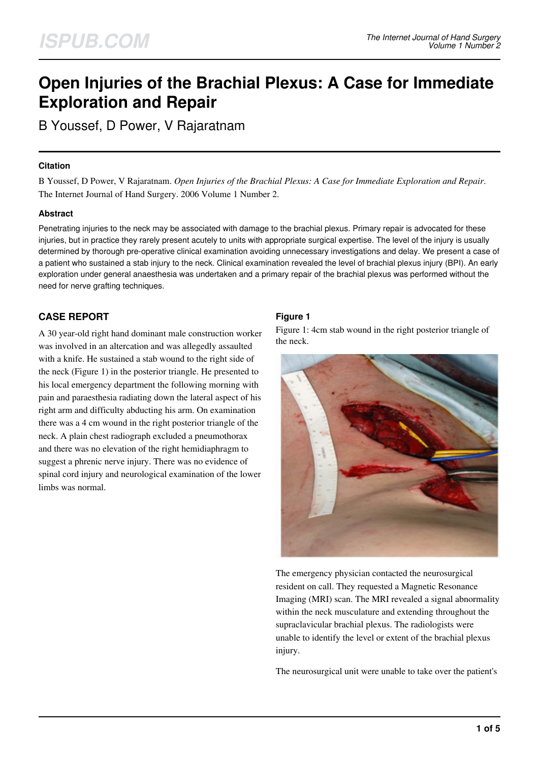# **Open Injuries of the Brachial Plexus: A Case for Immediate Exploration and Repair**

B Youssef, D Power, V Rajaratnam

#### **Citation**

B Youssef, D Power, V Rajaratnam. *Open Injuries of the Brachial Plexus: A Case for Immediate Exploration and Repair*. The Internet Journal of Hand Surgery. 2006 Volume 1 Number 2.

### **Abstract**

Penetrating injuries to the neck may be associated with damage to the brachial plexus. Primary repair is advocated for these injuries, but in practice they rarely present acutely to units with appropriate surgical expertise. The level of the injury is usually determined by thorough pre-operative clinical examination avoiding unnecessary investigations and delay. We present a case of a patient who sustained a stab injury to the neck. Clinical examination revealed the level of brachial plexus injury (BPI). An early exploration under general anaesthesia was undertaken and a primary repair of the brachial plexus was performed without the need for nerve grafting techniques.

# **CASE REPORT**

A 30 year-old right hand dominant male construction worker was involved in an altercation and was allegedly assaulted with a knife. He sustained a stab wound to the right side of the neck (Figure 1) in the posterior triangle. He presented to his local emergency department the following morning with pain and paraesthesia radiating down the lateral aspect of his right arm and difficulty abducting his arm. On examination there was a 4 cm wound in the right posterior triangle of the neck. A plain chest radiograph excluded a pneumothorax and there was no elevation of the right hemidiaphragm to suggest a phrenic nerve injury. There was no evidence of spinal cord injury and neurological examination of the lower limbs was normal.

### **Figure 1**

Figure 1: 4cm stab wound in the right posterior triangle of the neck.



The emergency physician contacted the neurosurgical resident on call. They requested a Magnetic Resonance Imaging (MRI) scan. The MRI revealed a signal abnormality within the neck musculature and extending throughout the supraclavicular brachial plexus. The radiologists were unable to identify the level or extent of the brachial plexus injury.

The neurosurgical unit were unable to take over the patient's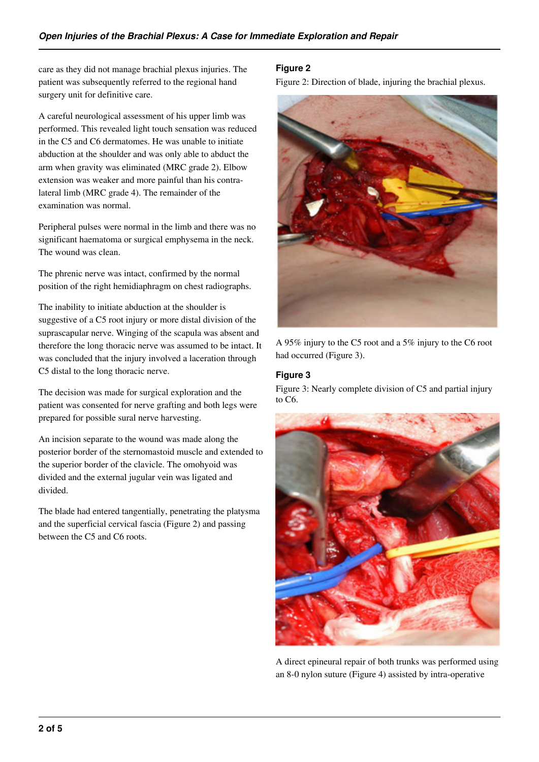care as they did not manage brachial plexus injuries. The patient was subsequently referred to the regional hand surgery unit for definitive care.

A careful neurological assessment of his upper limb was performed. This revealed light touch sensation was reduced in the C5 and C6 dermatomes. He was unable to initiate abduction at the shoulder and was only able to abduct the arm when gravity was eliminated (MRC grade 2). Elbow extension was weaker and more painful than his contralateral limb (MRC grade 4). The remainder of the examination was normal.

Peripheral pulses were normal in the limb and there was no significant haematoma or surgical emphysema in the neck. The wound was clean.

The phrenic nerve was intact, confirmed by the normal position of the right hemidiaphragm on chest radiographs.

The inability to initiate abduction at the shoulder is suggestive of a C5 root injury or more distal division of the suprascapular nerve. Winging of the scapula was absent and therefore the long thoracic nerve was assumed to be intact. It was concluded that the injury involved a laceration through C5 distal to the long thoracic nerve.

The decision was made for surgical exploration and the patient was consented for nerve grafting and both legs were prepared for possible sural nerve harvesting.

An incision separate to the wound was made along the posterior border of the sternomastoid muscle and extended to the superior border of the clavicle. The omohyoid was divided and the external jugular vein was ligated and divided.

The blade had entered tangentially, penetrating the platysma and the superficial cervical fascia (Figure 2) and passing between the C5 and C6 roots.

## **Figure 2**

Figure 2: Direction of blade, injuring the brachial plexus.



A 95% injury to the C5 root and a 5% injury to the C6 root had occurred (Figure 3).

## **Figure 3**

Figure 3: Nearly complete division of C5 and partial injury to C6.



A direct epineural repair of both trunks was performed using an 8-0 nylon suture (Figure 4) assisted by intra-operative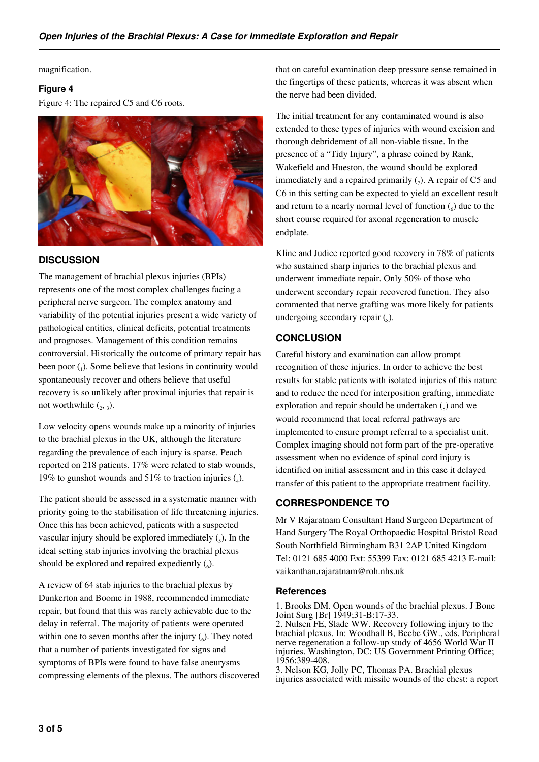magnification.

#### **Figure 4**

Figure 4: The repaired C5 and C6 roots.



# **DISCUSSION**

The management of brachial plexus injuries (BPIs) represents one of the most complex challenges facing a peripheral nerve surgeon. The complex anatomy and variability of the potential injuries present a wide variety of pathological entities, clinical deficits, potential treatments and prognoses. Management of this condition remains controversial. Historically the outcome of primary repair has been poor (1). Some believe that lesions in continuity would spontaneously recover and others believe that useful recovery is so unlikely after proximal injuries that repair is not worthwhile  $\binom{1}{2}$ ,  $\frac{1}{3}$ ).

Low velocity opens wounds make up a minority of injuries to the brachial plexus in the UK, although the literature regarding the prevalence of each injury is sparse. Peach reported on 218 patients. 17% were related to stab wounds, 19% to gunshot wounds and 51% to traction injuries  $\mathcal{L}_4$ ).

The patient should be assessed in a systematic manner with priority going to the stabilisation of life threatening injuries. Once this has been achieved, patients with a suspected vascular injury should be explored immediately  $\left(\frac{1}{5}\right)$ . In the ideal setting stab injuries involving the brachial plexus should be explored and repaired expediently  $(_6)$ .

A review of 64 stab injuries to the brachial plexus by Dunkerton and Boome in 1988, recommended immediate repair, but found that this was rarely achievable due to the delay in referral. The majority of patients were operated within one to seven months after the injury  $(_6)$ . They noted that a number of patients investigated for signs and symptoms of BPIs were found to have false aneurysms compressing elements of the plexus. The authors discovered that on careful examination deep pressure sense remained in the fingertips of these patients, whereas it was absent when the nerve had been divided.

The initial treatment for any contaminated wound is also extended to these types of injuries with wound excision and thorough debridement of all non-viable tissue. In the presence of a "Tidy Injury", a phrase coined by Rank, Wakefield and Hueston, the wound should be explored immediately and a repaired primarily  $(7)$ . A repair of C5 and C6 in this setting can be expected to yield an excellent result and return to a nearly normal level of function  $\binom{6}{6}$  due to the short course required for axonal regeneration to muscle endplate.

Kline and Judice reported good recovery in 78% of patients who sustained sharp injuries to the brachial plexus and underwent immediate repair. Only 50% of those who underwent secondary repair recovered function. They also commented that nerve grafting was more likely for patients undergoing secondary repair  $\binom{8}{8}$ .

# **CONCLUSION**

Careful history and examination can allow prompt recognition of these injuries. In order to achieve the best results for stable patients with isolated injuries of this nature and to reduce the need for interposition grafting, immediate exploration and repair should be undertaken  $(s)$  and we would recommend that local referral pathways are implemented to ensure prompt referral to a specialist unit. Complex imaging should not form part of the pre-operative assessment when no evidence of spinal cord injury is identified on initial assessment and in this case it delayed transfer of this patient to the appropriate treatment facility.

# **CORRESPONDENCE TO**

Mr V Rajaratnam Consultant Hand Surgeon Department of Hand Surgery The Royal Orthopaedic Hospital Bristol Road South Northfield Birmingham B31 2AP United Kingdom Tel: 0121 685 4000 Ext: 55399 Fax: 0121 685 4213 E-mail: vaikanthan.rajaratnam@roh.nhs.uk

#### **References**

1. Brooks DM. Open wounds of the brachial plexus. J Bone Joint Surg [Br] 1949;31-B:17-33.

2. Nulsen FE, Slade WW. Recovery following injury to the brachial plexus. In: Woodhall B, Beebe GW., eds. Peripheral nerve regeneration a follow-up study of 4656 World War II injuries. Washington, DC: US Government Printing Office; 1956:389-408.

3. Nelson KG, Jolly PC, Thomas PA. Brachial plexus injuries associated with missile wounds of the chest: a report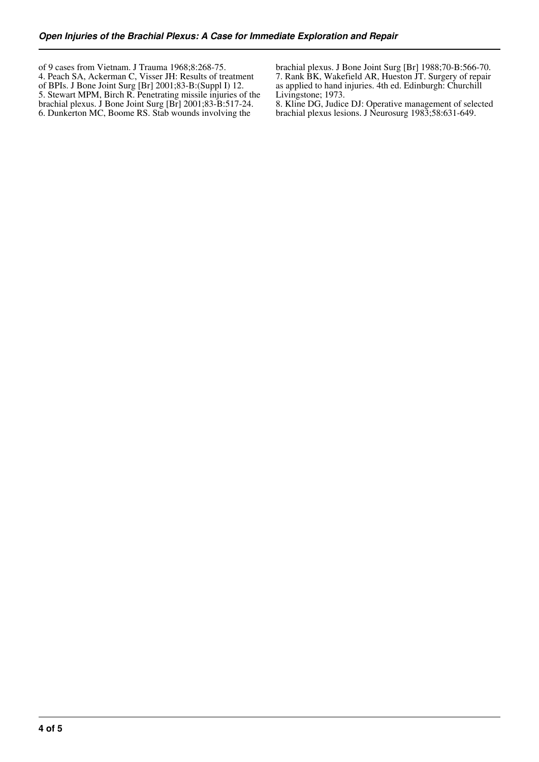of 9 cases from Vietnam. J Trauma 1968;8:268-75. 4. Peach SA, Ackerman C, Visser JH: Results of treatment of BPIs. J Bone Joint Surg [Br] 2001;83-B:(Suppl I) 12. 5. Stewart MPM, Birch R. Penetrating missile injuries of the brachial plexus. J Bone Joint Surg [Br] 2001;83-B:517-24. 6. Dunkerton MC, Boome RS. Stab wounds involving the

brachial plexus. J Bone Joint Surg [Br] 1988;70-B:566-70. 7. Rank BK, Wakefield AR, Hueston JT. Surgery of repair as applied to hand injuries. 4th ed. Edinburgh: Churchill Livingstone; 1973.

8. Kline DG, Judice DJ: Operative management of selected brachial plexus lesions. J Neurosurg 1983;58:631-649.